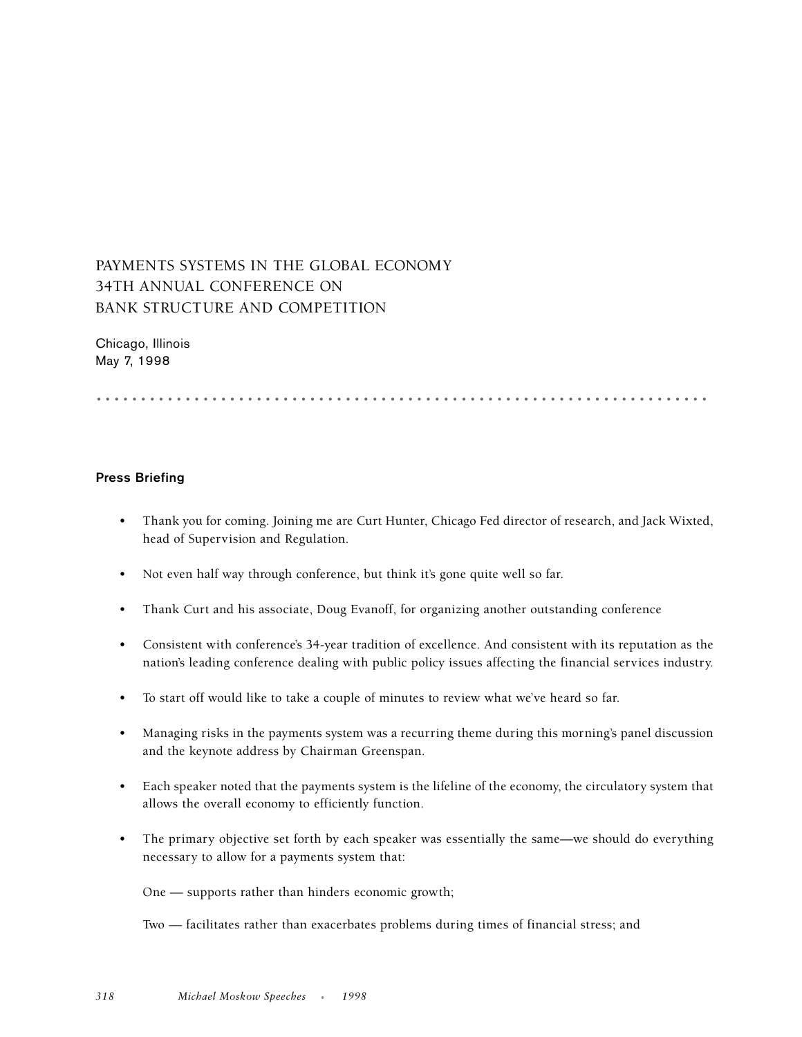## PAYMENTS SYSTEMS IN THE GLOBAL ECONOMY 34TH ANNUAL CONFERENCE ON BANK STRUCTURE AND COMPETITION

Chicago, Illinois May 7, 1998

.....................................................................

## **Press Briefing**

- Thank you for coming. Joining me are Curt Hunter, Chicago Fed director of research, and Jack Wixted, head of Supervision and Regulation.
- Not even half way through conference, but think it's gone quite well so far.
- Thank Curt and his associate, Doug Evanoff, for organizing another outstanding conference
- Consistent with conference's 34-year tradition of excellence. And consistent with its reputation as the nation's leading conference dealing with public policy issues affecting the financial services industry.
- To start off would like to take a couple of minutes to review what we've heard so far.
- Managing risks in the payments system was a recurring theme during this morning's panel discussion and the keynote address by Chairman Greenspan.
- Each speaker noted that the payments system is the lifeline of the economy, the circulatory system that allows the overall economy to efficiently function.
- The primary objective set forth by each speaker was essentially the same—we should do everything necessary to allow for a payments system that:

One — supports rather than hinders economic growth;

Two — facilitates rather than exacerbates problems during times of financial stress; and